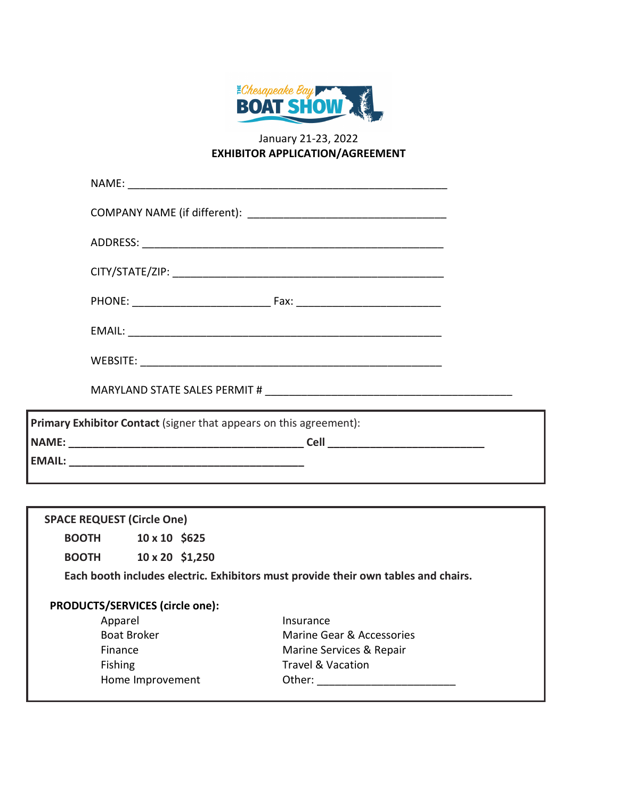

# January 21-23, 2022 **EXHIBITOR APPLICATION/AGREEMENT**

| Primary Exhibitor Contact (signer that appears on this agreement): |                                                             |  |  |  |  |
|--------------------------------------------------------------------|-------------------------------------------------------------|--|--|--|--|
|                                                                    | <u> 1989 - Johann Stoff, amerikansk politiker (d. 1989)</u> |  |  |  |  |
|                                                                    |                                                             |  |  |  |  |
|                                                                    |                                                             |  |  |  |  |
|                                                                    |                                                             |  |  |  |  |
|                                                                    |                                                             |  |  |  |  |
|                                                                    |                                                             |  |  |  |  |
|                                                                    |                                                             |  |  |  |  |
|                                                                    |                                                             |  |  |  |  |

**EMAIL: \_\_\_\_\_\_\_\_\_\_\_\_\_\_\_\_\_\_\_\_\_\_\_\_\_\_\_\_\_\_\_\_\_\_\_\_\_\_\_**

| <b>SPACE REQUEST (Circle One)</b>                                                  |                        |  |                              |  |  |
|------------------------------------------------------------------------------------|------------------------|--|------------------------------|--|--|
| <b>BOOTH</b>                                                                       | $10 \times 10$ \$625   |  |                              |  |  |
| <b>BOOTH</b>                                                                       | $10 \times 20$ \$1,250 |  |                              |  |  |
| Each booth includes electric. Exhibitors must provide their own tables and chairs. |                        |  |                              |  |  |
| PRODUCTS/SERVICES (circle one):                                                    |                        |  |                              |  |  |
| Apparel                                                                            |                        |  | Insurance                    |  |  |
| <b>Boat Broker</b>                                                                 |                        |  | Marine Gear & Accessories    |  |  |
| Finance                                                                            |                        |  | Marine Services & Repair     |  |  |
| <b>Fishing</b>                                                                     |                        |  | <b>Travel &amp; Vacation</b> |  |  |
| Home Improvement                                                                   |                        |  | Other:                       |  |  |
|                                                                                    |                        |  |                              |  |  |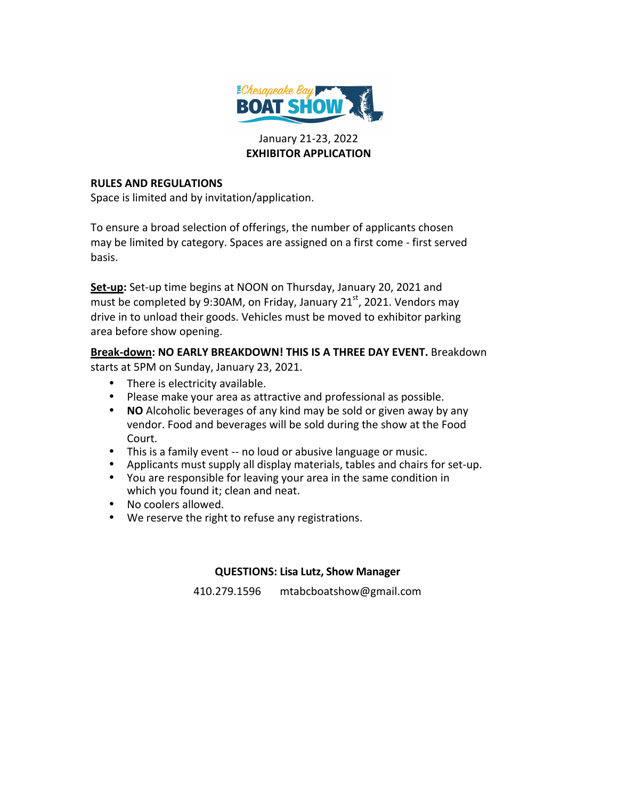

## January 21-23, 2022 **EXHIBITOR APPLICATION**

### **RULES AND REGULATIONS**

Space is limited and by invitation/application.

To ensure a broad selection of offerings, the number of applicants chosen may be limited by category. Spaces are assigned on a first come - first served basis.

**Set-up:** Set-up time begins at NOON on Thursday, January 20, 2021 and must be completed by 9:30AM, on Friday, January 21 $^{\rm st}$ , 2021. Vendors may drive in to unload their goods. Vehicles must be moved to exhibitor parking area before show opening.

**Break-down: NO EARLY BREAKDOWN! THIS IS A THREE DAY EVENT.** Breakdown starts at 5PM on Sunday, January 23, 2021.

- There is electricity available.
- Please make your area as attractive and professional as possible.
- **NO** Alcoholic beverages of any kind may be sold or given away by any vendor. Food and beverages will be sold during the show at the Food Court.
- This is a family event -- no loud or abusive language or music.
- Applicants must supply all display materials, tables and chairs for set-up.
- You are responsible for leaving your area in the same condition in which you found it; clean and neat.
- No coolers allowed.
- We reserve the right to refuse any registrations.

## **QUESTIONS: Lisa Lutz, Show Manager**

410.279.1596 mtabcboatshow@gmail.com